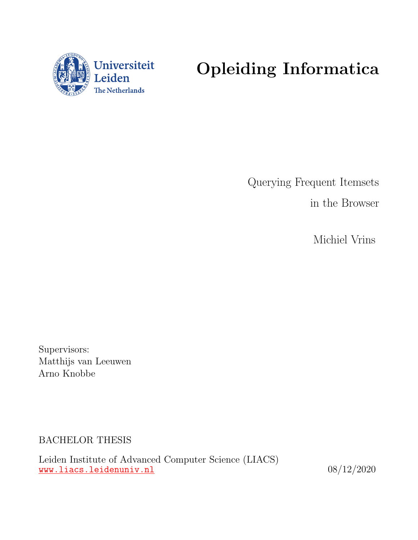

# Opleiding Informatica

Querying Frequent Itemsets in the Browser

Michiel Vrins

Supervisors: Matthijs van Leeuwen Arno Knobbe

BACHELOR THESIS

Leiden Institute of Advanced Computer Science (LIACS) <www.liacs.leidenuniv.nl>  $08/12/2020$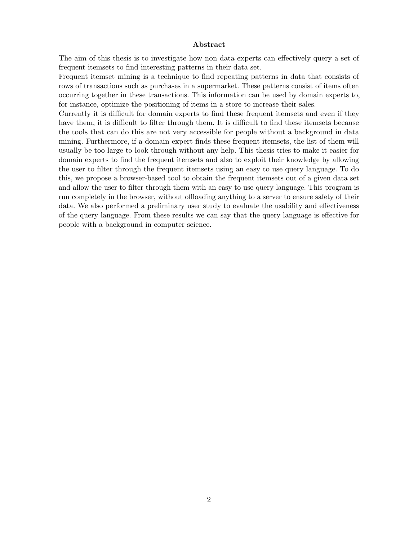#### Abstract

The aim of this thesis is to investigate how non data experts can effectively query a set of frequent itemsets to find interesting patterns in their data set.

Frequent itemset mining is a technique to find repeating patterns in data that consists of rows of transactions such as purchases in a supermarket. These patterns consist of items often occurring together in these transactions. This information can be used by domain experts to, for instance, optimize the positioning of items in a store to increase their sales.

Currently it is difficult for domain experts to find these frequent itemsets and even if they have them, it is difficult to filter through them. It is difficult to find these itemsets because the tools that can do this are not very accessible for people without a background in data mining. Furthermore, if a domain expert finds these frequent itemsets, the list of them will usually be too large to look through without any help. This thesis tries to make it easier for domain experts to find the frequent itemsets and also to exploit their knowledge by allowing the user to filter through the frequent itemsets using an easy to use query language. To do this, we propose a browser-based tool to obtain the frequent itemsets out of a given data set and allow the user to filter through them with an easy to use query language. This program is run completely in the browser, without offloading anything to a server to ensure safety of their data. We also performed a preliminary user study to evaluate the usability and effectiveness of the query language. From these results we can say that the query language is effective for people with a background in computer science.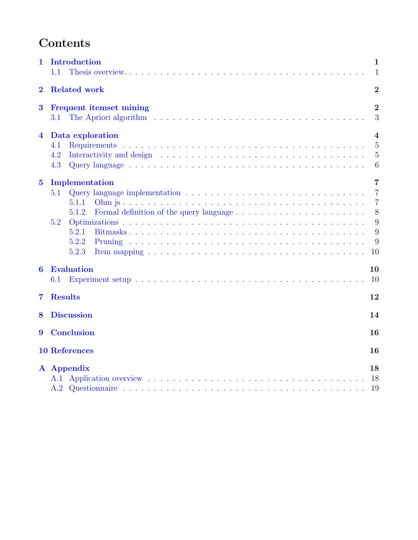# Contents

| 1                       | Introduction<br>1.1                                                                                                                                                                                                                                                    | 1<br>$\mathbf{1}$                                                            |
|-------------------------|------------------------------------------------------------------------------------------------------------------------------------------------------------------------------------------------------------------------------------------------------------------------|------------------------------------------------------------------------------|
| $\bf{2}$                | <b>Related work</b>                                                                                                                                                                                                                                                    | $\overline{2}$                                                               |
| $\bf{3}$                | <b>Frequent itemset mining</b><br>The Apriori algorithm resources in the set of the set of the set of the set of the set of the set of the set of the set of the set of the set of the set of the set of the set of the set of the set of the set of the set of<br>3.1 | $\overline{2}$<br>3                                                          |
| 4                       | Data exploration<br>4.1<br>4.2<br>4.3                                                                                                                                                                                                                                  | 4<br>$\overline{5}$<br>$\overline{5}$<br>6                                   |
| $\overline{\mathbf{5}}$ | Implementation<br>5.1<br>5.1.1<br>5.1.2<br>5.2<br>5.2.1<br>5.2.2<br>5.2.3<br>Item mapping $\ldots \ldots \ldots \ldots \ldots \ldots \ldots \ldots \ldots \ldots \ldots \ldots \ldots$                                                                                 | $\overline{7}$<br>$\overline{7}$<br>$\overline{7}$<br>8<br>9<br>9<br>9<br>10 |
| 6                       | Evaluation<br>6.1                                                                                                                                                                                                                                                      | 10<br>10                                                                     |
| 7                       | <b>Results</b>                                                                                                                                                                                                                                                         | 12                                                                           |
| 8                       | <b>Discussion</b>                                                                                                                                                                                                                                                      | 14                                                                           |
| 9                       | <b>Conclusion</b>                                                                                                                                                                                                                                                      | 16                                                                           |
|                         | <b>10 References</b>                                                                                                                                                                                                                                                   | 16                                                                           |
|                         | A Appendix                                                                                                                                                                                                                                                             | 18<br>18<br>19                                                               |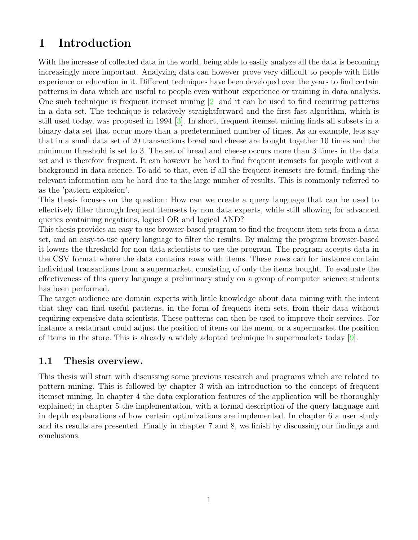# <span id="page-3-0"></span>1 Introduction

With the increase of collected data in the world, being able to easily analyze all the data is becoming increasingly more important. Analyzing data can however prove very difficult to people with little experience or education in it. Different techniques have been developed over the years to find certain patterns in data which are useful to people even without experience or training in data analysis. One such technique is frequent itemset mining  $\boxed{2}$  and it can be used to find recurring patterns in a data set. The technique is relatively straightforward and the first fast algorithm, which is still used today, was proposed in 1994 [\[3\]](#page-18-3). In short, frequent itemset mining finds all subsets in a binary data set that occur more than a predetermined number of times. As an example, lets say that in a small data set of 20 transactions bread and cheese are bought together 10 times and the minimum threshold is set to 3. The set of bread and cheese occurs more than 3 times in the data set and is therefore frequent. It can however be hard to find frequent itemsets for people without a background in data science. To add to that, even if all the frequent itemsets are found, finding the relevant information can be hard due to the large number of results. This is commonly referred to as the 'pattern explosion'.

This thesis focuses on the question: How can we create a query language that can be used to effectively filter through frequent itemsets by non data experts, while still allowing for advanced queries containing negations, logical OR and logical AND?

This thesis provides an easy to use browser-based program to find the frequent item sets from a data set, and an easy-to-use query language to filter the results. By making the program browser-based it lowers the threshold for non data scientists to use the program. The program accepts data in the CSV format where the data contains rows with items. These rows can for instance contain individual transactions from a supermarket, consisting of only the items bought. To evaluate the effectiveness of this query language a preliminary study on a group of computer science students has been performed.

The target audience are domain experts with little knowledge about data mining with the intent that they can find useful patterns, in the form of frequent item sets, from their data without requiring expensive data scientists. These patterns can then be used to improve their services. For instance a restaurant could adjust the position of items on the menu, or a supermarket the position of items in the store. This is already a widely adopted technique in supermarkets today [\[9\]](#page-19-0).

### <span id="page-3-1"></span>1.1 Thesis overview.

This thesis will start with discussing some previous research and programs which are related to pattern mining. This is followed by chapter 3 with an introduction to the concept of frequent itemset mining. In chapter 4 the data exploration features of the application will be thoroughly explained; in chapter 5 the implementation, with a formal description of the query language and in depth explanations of how certain optimizations are implemented. In chapter 6 a user study and its results are presented. Finally in chapter 7 and 8, we finish by discussing our findings and conclusions.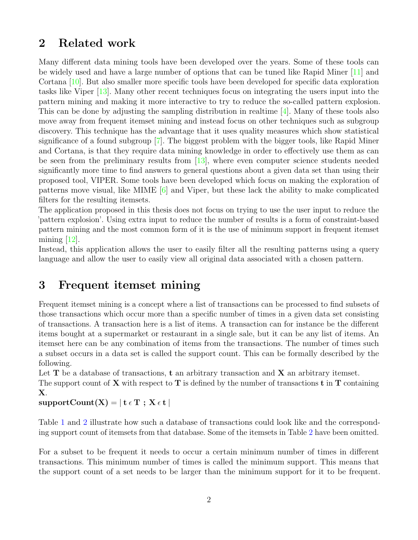### <span id="page-4-0"></span>2 Related work

Many different data mining tools have been developed over the years. Some of these tools can be widely used and have a large number of options that can be tuned like Rapid Miner [\[11\]](#page-19-1) and Cortana [\[10\]](#page-19-2). But also smaller more specific tools have been developed for specific data exploration tasks like Viper [\[13\]](#page-19-3). Many other recent techniques focus on integrating the users input into the pattern mining and making it more interactive to try to reduce the so-called pattern explosion. This can be done by adjusting the sampling distribution in realtime [\[4\]](#page-18-4). Many of these tools also move away from frequent itemset mining and instead focus on other techniques such as subgroup discovery. This technique has the advantage that it uses quality measures which show statistical significance of a found subgroup [\[7\]](#page-18-5). The biggest problem with the bigger tools, like Rapid Miner and Cortana, is that they require data mining knowledge in order to effectively use them as can be seen from the preliminary results from [\[13\]](#page-19-3), where even computer science students needed significantly more time to find answers to general questions about a given data set than using their proposed tool, VIPER. Some tools have been developed which focus on making the exploration of patterns move visual, like MIME  $[6]$  and Viper, but these lack the ability to make complicated filters for the resulting itemsets.

The application proposed in this thesis does not focus on trying to use the user input to reduce the 'pattern explosion'. Using extra input to reduce the number of results is a form of constraint-based pattern mining and the most common form of it is the use of minimum support in frequent itemset mining  $[12]$ .

Instead, this application allows the user to easily filter all the resulting patterns using a query language and allow the user to easily view all original data associated with a chosen pattern.

### <span id="page-4-1"></span>3 Frequent itemset mining

Frequent itemset mining is a concept where a list of transactions can be processed to find subsets of those transactions which occur more than a specific number of times in a given data set consisting of transactions. A transaction here is a list of items. A transaction can for instance be the different items bought at a supermarket or restaurant in a single sale, but it can be any list of items. An itemset here can be any combination of items from the transactions. The number of times such a subset occurs in a data set is called the support count. This can be formally described by the following.

Let  $T$  be a database of transactions,  $t$  an arbitrary transaction and  $X$  an arbitrary itemset.

The support count of  $X$  with respect to  $T$  is defined by the number of transactions  $t$  in  $T$  containing X.

 $supportCount(X) = | t \in T; X \in t |$ 

Table [1](#page-5-1) and [2](#page-5-2) illustrate how such a database of transactions could look like and the corresponding support count of itemsets from that database. Some of the itemsets in Table [2](#page-5-2) have been omitted.

For a subset to be frequent it needs to occur a certain minimum number of times in different transactions. This minimum number of times is called the minimum support. This means that the support count of a set needs to be larger than the minimum support for it to be frequent.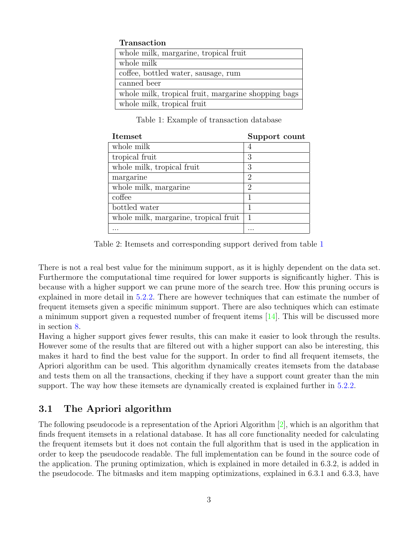#### Transaction

| whole milk, margarine, tropical fruit               |
|-----------------------------------------------------|
| whole milk                                          |
| coffee, bottled water, sausage, rum                 |
| canned beer                                         |
| whole milk, tropical fruit, margarine shopping bags |
| whole milk, tropical fruit                          |

<span id="page-5-1"></span>Table 1: Example of transaction database

| <b>Itemset</b>                        | Support count |
|---------------------------------------|---------------|
| whole milk                            |               |
| tropical fruit                        | 3             |
| whole milk, tropical fruit            | 3             |
| margarine                             | 2             |
| whole milk, margarine                 | 2             |
| coffee                                | 1             |
| bottled water                         |               |
| whole milk, margarine, tropical fruit | $\mathbf{1}$  |
|                                       |               |

<span id="page-5-2"></span>Table 2: Itemsets and corresponding support derived from table [1](#page-5-1)

There is not a real best value for the minimum support, as it is highly dependent on the data set. Furthermore the computational time required for lower supports is significantly higher. This is because with a higher support we can prune more of the search tree. How this pruning occurs is explained in more detail in [5.2.2.](#page-11-2) There are however techniques that can estimate the number of frequent itemsets given a specific minimum support. There are also techniques which can estimate a minimum support given a requested number of frequent items [\[14\]](#page-19-5). This will be discussed more in section [8.](#page-16-0)

Having a higher support gives fewer results, this can make it easier to look through the results. However some of the results that are filtered out with a higher support can also be interesting, this makes it hard to find the best value for the support. In order to find all frequent itemsets, the Apriori algorithm can be used. This algorithm dynamically creates itemsets from the database and tests them on all the transactions, checking if they have a support count greater than the min support. The way how these itemsets are dynamically created is explained further in [5.2.2.](#page-11-2)

### <span id="page-5-0"></span>3.1 The Apriori algorithm

The following pseudocode is a representation of the Apriori Algorithm [\[2\]](#page-18-2), which is an algorithm that finds frequent itemsets in a relational database. It has all core functionality needed for calculating the frequent itemsets but it does not contain the full algorithm that is used in the application in order to keep the pseudocode readable. The full implementation can be found in the source code of the application. The pruning optimization, which is explained in more detailed in 6.3.2, is added in the pseudocode. The bitmasks and item mapping optimizations, explained in 6.3.1 and 6.3.3, have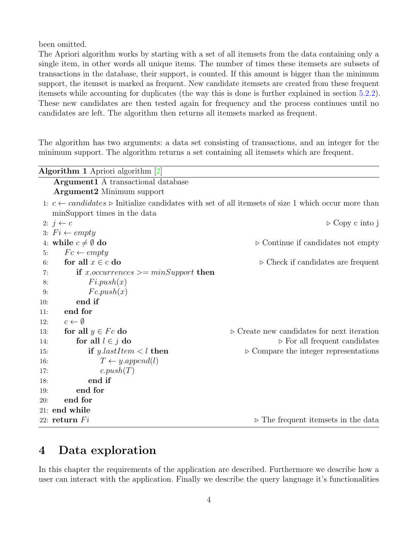been omitted.

The Apriori algorithm works by starting with a set of all itemsets from the data containing only a single item, in other words all unique items. The number of times these itemsets are subsets of transactions in the database, their support, is counted. If this amount is bigger than the minimum support, the itemset is marked as frequent. New candidate itemsets are created from these frequent itemsets while accounting for duplicates (the way this is done is further explained in section [5.2.2\)](#page-11-2). These new candidates are then tested again for frequency and the process continues until no candidates are left. The algorithm then returns all itemsets marked as frequent.

The algorithm has two arguments: a data set consisting of transactions, and an integer for the minimum support. The algorithm returns a set containing all itemsets which are frequent.

|     | <b>Algorithm 1</b> Apriori algorithm $\boxed{2}$ |                                                                                                                            |
|-----|--------------------------------------------------|----------------------------------------------------------------------------------------------------------------------------|
|     | <b>Argument1</b> A transactional database        |                                                                                                                            |
|     | <b>Argument2</b> Minimum support                 |                                                                                                                            |
|     |                                                  | 1: $c \leftarrow candidates \triangleright$ Initialize candidates with set of all itemsets of size 1 which occur more than |
|     | minSupport times in the data                     |                                                                                                                            |
|     | 2: $j \leftarrow c$                              | $\triangleright$ Copy c into j                                                                                             |
|     | 3: $Fi \leftarrow empty$                         |                                                                                                                            |
|     | 4: while $c \neq \emptyset$ do                   | $\triangleright$ Continue if candidates not empty                                                                          |
| 5:  | $Fc \leftarrow empty$                            |                                                                                                                            |
| 6:  | for all $x \in c$ do                             | $\triangleright$ Check if candidates are frequent                                                                          |
| 7:  | if x.occurrences $\geq$ minSupport then          |                                                                                                                            |
| 8:  | Fi.push(x)                                       |                                                                                                                            |
| 9:  | Fc.push(x)                                       |                                                                                                                            |
| 10: | end if                                           |                                                                                                                            |
| 11: | end for                                          |                                                                                                                            |
| 12: | $c \leftarrow \emptyset$                         |                                                                                                                            |
| 13: | for all $y \in Fc$ do                            | $\triangleright$ Create new candidates for next iteration                                                                  |
| 14: | for all $l \in j$ do                             | $\triangleright$ For all frequent candidates                                                                               |
| 15: | if y.lastItem $\lt l$ then                       | $\triangleright$ Compare the integer representations                                                                       |
| 16: | $T \leftarrow y.append(l)$                       |                                                                                                                            |
| 17: | c.push(T)                                        |                                                                                                                            |
| 18: | end if                                           |                                                                                                                            |
| 19: | end for                                          |                                                                                                                            |
| 20: | end for                                          |                                                                                                                            |
|     | 21: end while                                    |                                                                                                                            |
|     | 22: return $Fi$                                  | $\triangleright$ The frequent itemsets in the data                                                                         |

# <span id="page-6-0"></span>4 Data exploration

In this chapter the requirements of the application are described. Furthermore we describe how a user can interact with the application. Finally we describe the query language it's functionalities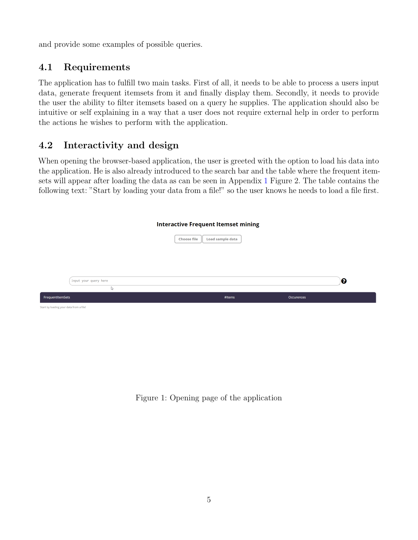and provide some examples of possible queries.

### <span id="page-7-0"></span>4.1 Requirements

The application has to fulfill two main tasks. First of all, it needs to be able to process a users input data, generate frequent itemsets from it and finally display them. Secondly, it needs to provide the user the ability to filter itemsets based on a query he supplies. The application should also be intuitive or self explaining in a way that a user does not require external help in order to perform the actions he wishes to perform with the application.

### <span id="page-7-1"></span>4.2 Interactivity and design

When opening the browser-based application, the user is greeted with the option to load his data into the application. He is also already introduced to the search bar and the table where the frequent itemsets will appear after loading the data as can be seen in Appendix [1](#page-7-2) Figure 2. The table contains the following text: "Start by loading your data from a file!" so the user knows he needs to load a file first.

|                                         | <b>Interactive Frequent Itemset mining</b>    |            |   |
|-----------------------------------------|-----------------------------------------------|------------|---|
|                                         | <b>Load sample data</b><br><b>Choose file</b> |            |   |
|                                         |                                               |            |   |
|                                         |                                               |            |   |
| Input your query here                   |                                               |            | ❸ |
| r,                                      |                                               |            |   |
| FrequentItemSets                        | #Items                                        | Occurences |   |
| Start by loading your data from a file! |                                               |            |   |

<span id="page-7-2"></span>Figure 1: Opening page of the application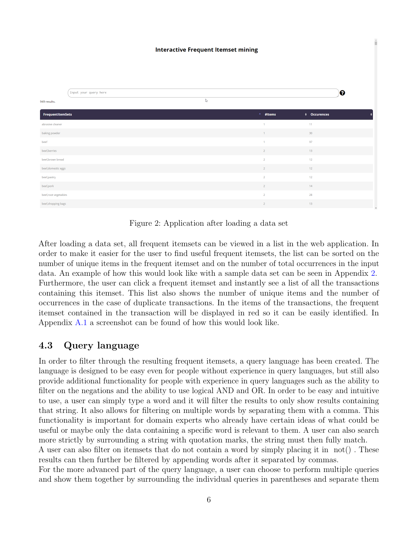|                       | Input your query here |              |                   |                 | ❸ |
|-----------------------|-----------------------|--------------|-------------------|-----------------|---|
| 949 results.          |                       | $\mathbb{S}$ |                   |                 |   |
| FrequentitemSets      |                       |              | $^{\circ}$ #Items | ♦ Occurences    |   |
| abrasive cleaner      |                       |              | $\overline{1}$    | 11              |   |
| baking powder         |                       |              | $\mathbf{1}$      | 30 <sub>2</sub> |   |
| beef                  |                       |              | $\overline{1}$    | 97              |   |
| beef, berries         |                       |              | $\overline{2}$    | 13              |   |
| beef, brown bread     |                       |              | <b>2</b>          | 12              |   |
| beef, domestic eggs   |                       |              | $\overline{2}$    | 12              |   |
| beef,pastry           |                       |              | $\overline{2}$    | 12              |   |
| beef,pork             |                       |              | $\overline{2}$    | 14              |   |
| beef, root vegetables |                       |              | $\overline{2}$    | 28              |   |
| beef, shopping bags   |                       |              | $\overline{2}$    | 13              |   |

<span id="page-8-1"></span>Figure 2: Application after loading a data set

After loading a data set, all frequent itemsets can be viewed in a list in the web application. In order to make it easier for the user to find useful frequent itemsets, the list can be sorted on the number of unique items in the frequent itemset and on the number of total occurrences in the input data. An example of how this would look like with a sample data set can be seen in Appendix [2.](#page-8-1) Furthermore, the user can click a frequent itemset and instantly see a list of all the transactions containing this itemset. This list also shows the number of unique items and the number of occurrences in the case of duplicate transactions. In the items of the transactions, the frequent itemset contained in the transaction will be displayed in red so it can be easily identified. In Appendix [A.1](#page-20-2) a screenshot can be found of how this would look like.

#### <span id="page-8-0"></span>4.3 Query language

In order to filter through the resulting frequent itemsets, a query language has been created. The language is designed to be easy even for people without experience in query languages, but still also provide additional functionality for people with experience in query languages such as the ability to filter on the negations and the ability to use logical AND and OR. In order to be easy and intuitive to use, a user can simply type a word and it will filter the results to only show results containing that string. It also allows for filtering on multiple words by separating them with a comma. This functionality is important for domain experts who already have certain ideas of what could be useful or maybe only the data containing a specific word is relevant to them. A user can also search more strictly by surrounding a string with quotation marks, the string must then fully match.

A user can also filter on itemsets that do not contain a word by simply placing it in not() . These results can then further be filtered by appending words after it separated by commas.

For the more advanced part of the query language, a user can choose to perform multiple queries and show them together by surrounding the individual queries in parentheses and separate them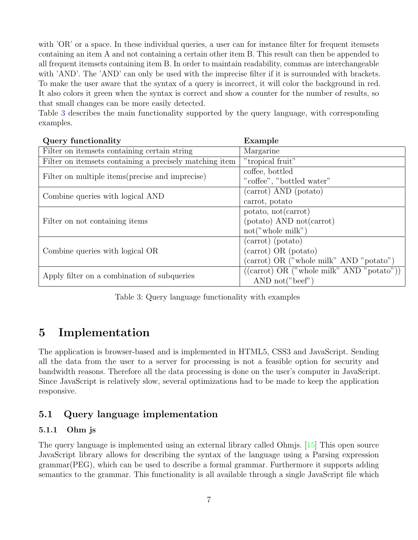with 'OR' or a space. In these individual queries, a user can for instance filter for frequent itemsets containing an item A and not containing a certain other item B. This result can then be appended to all frequent itemsets containing item B. In order to maintain readability, commas are interchangeable with 'AND'. The 'AND' can only be used with the imprecise filter if it is surrounded with brackets. To make the user aware that the syntax of a query is incorrect, it will color the background in red. It also colors it green when the syntax is correct and show a counter for the number of results, so that small changes can be more easily detected.

Table [3](#page-9-3) describes the main functionality supported by the query language, with corresponding examples.

| Query functionality                                     | Example                                                           |
|---------------------------------------------------------|-------------------------------------------------------------------|
| Filter on itemsets containing certain string            | Margarine                                                         |
| Filter on itemsets containing a precisely matching item | "tropical fruit"                                                  |
| Filter on multiple items (precise and imprecise)        | coffee, bottled                                                   |
|                                                         | "coffee", "bottled water"                                         |
| Combine queries with logical AND                        | (carrot) AND (potato)                                             |
|                                                         | carrot, potato                                                    |
|                                                         | potato, not (carrot)                                              |
| Filter on not containing items                          | (potato) AND not (carrot)                                         |
|                                                         | not("whole milk")                                                 |
|                                                         | (carrot) (potato)                                                 |
| Combine queries with logical OR                         | (carrot) OR (potato)                                              |
|                                                         | (carrot) OR ("whole milk" AND "potato")                           |
| Apply filter on a combination of subqueries             | $((\text{carrot}) \text{ OR } (\text{"whole milk" AND "potato"))$ |
|                                                         | AND $not("beef")$                                                 |

<span id="page-9-3"></span>Table 3: Query language functionality with examples

# <span id="page-9-0"></span>5 Implementation

The application is browser-based and is implemented in HTML5, CSS3 and JavaScript. Sending all the data from the user to a server for processing is not a feasible option for security and bandwidth reasons. Therefore all the data processing is done on the user's computer in JavaScript. Since JavaScript is relatively slow, several optimizations had to be made to keep the application responsive.

### <span id="page-9-1"></span>5.1 Query language implementation

### <span id="page-9-2"></span>5.1.1 Ohm js

The query language is implemented using an external library called Ohmjs. [\[15\]](#page-19-6) This open source JavaScript library allows for describing the syntax of the language using a Parsing expression grammar(PEG), which can be used to describe a formal grammar. Furthermore it supports adding semantics to the grammar. This functionality is all available through a single JavaScript file which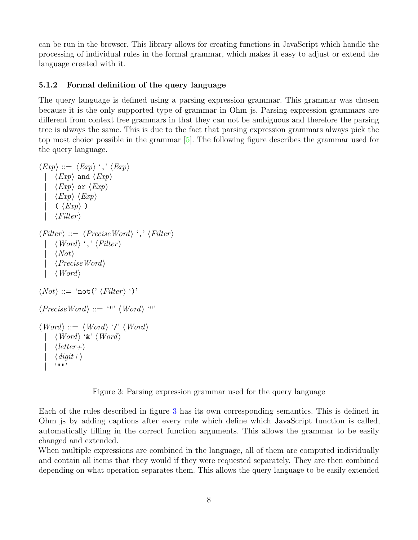can be run in the browser. This library allows for creating functions in JavaScript which handle the processing of individual rules in the formal grammar, which makes it easy to adjust or extend the language created with it.

#### <span id="page-10-0"></span>5.1.2 Formal definition of the query language

The query language is defined using a parsing expression grammar. This grammar was chosen because it is the only supported type of grammar in Ohm js. Parsing expression grammars are different from context free grammars in that they can not be ambiguous and therefore the parsing tree is always the same. This is due to the fact that parsing expression grammars always pick the top most choice possible in the grammar [\[5\]](#page-18-7). The following figure describes the grammar used for the query language.

```
\langle Exp \rangle ::= \langle Exp \rangle',' \langle Exp \rangle\langle Exp \rangle and \langle Exp \rangle\langle Exp \rangle or \langle Exp \rangle\langle Exp \rangle \langle Exp \rangle(\langle Exp \rangle)\langle Filter \rangle\langle Filter \rangle ::= \langle PreciseWord \rangle \langle \cdot, \cdot \langle Filter \rangle\langle Word \rangle ',' \langle Filter \rangle\langle Not\rangle\langle PreciseWord \rangle\langle Word \rangle\langle Not \rangle ::= \text{`not'} \langle Filter \rangle ')'\langle PreciseWord \rangle ::= '"' \langle Word \rangle '"'
\langle Word \rangle ::= \langle Word \rangle ' /' \langle Word \rangle\langle Word \rangle '&' \langle Word \rangle\langle letter+\rangle\langle digit+\rangle^{(1111)}
```
<span id="page-10-1"></span>

Each of the rules described in figure [3](#page-10-1) has its own corresponding semantics. This is defined in Ohm js by adding captions after every rule which define which JavaScript function is called, automatically filling in the correct function arguments. This allows the grammar to be easily changed and extended.

When multiple expressions are combined in the language, all of them are computed individually and contain all items that they would if they were requested separately. They are then combined depending on what operation separates them. This allows the query language to be easily extended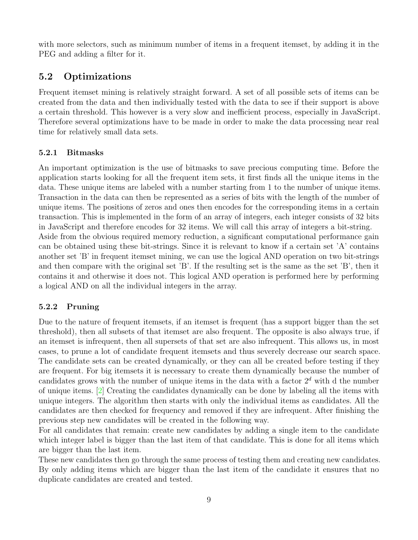with more selectors, such as minimum number of items in a frequent itemset, by adding it in the PEG and adding a filter for it.

#### <span id="page-11-0"></span>5.2 Optimizations

Frequent itemset mining is relatively straight forward. A set of all possible sets of items can be created from the data and then individually tested with the data to see if their support is above a certain threshold. This however is a very slow and inefficient process, especially in JavaScript. Therefore several optimizations have to be made in order to make the data processing near real time for relatively small data sets.

#### <span id="page-11-1"></span>5.2.1 Bitmasks

An important optimization is the use of bitmasks to save precious computing time. Before the application starts looking for all the frequent item sets, it first finds all the unique items in the data. These unique items are labeled with a number starting from 1 to the number of unique items. Transaction in the data can then be represented as a series of bits with the length of the number of unique items. The positions of zeros and ones then encodes for the corresponding items in a certain transaction. This is implemented in the form of an array of integers, each integer consists of 32 bits in JavaScript and therefore encodes for 32 items. We will call this array of integers a bit-string. Aside from the obvious required memory reduction, a significant computational performance gain can be obtained using these bit-strings. Since it is relevant to know if a certain set 'A' contains another set 'B' in frequent itemset mining, we can use the logical AND operation on two bit-strings and then compare with the original set 'B'. If the resulting set is the same as the set 'B', then it contains it and otherwise it does not. This logical AND operation is performed here by performing a logical AND on all the individual integers in the array.

#### <span id="page-11-2"></span>5.2.2 Pruning

Due to the nature of frequent itemsets, if an itemset is frequent (has a support bigger than the set threshold), then all subsets of that itemset are also frequent. The opposite is also always true, if an itemset is infrequent, then all supersets of that set are also infrequent. This allows us, in most cases, to prune a lot of candidate frequent itemsets and thus severely decrease our search space. The candidate sets can be created dynamically, or they can all be created before testing if they are frequent. For big itemsets it is necessary to create them dynamically because the number of candidates grows with the number of unique items in the data with a factor  $2<sup>d</sup>$  with d the number of unique items. [\[2\]](#page-18-2) Creating the candidates dynamically can be done by labeling all the items with unique integers. The algorithm then starts with only the individual items as candidates. All the candidates are then checked for frequency and removed if they are infrequent. After finishing the previous step new candidates will be created in the following way.

For all candidates that remain: create new candidates by adding a single item to the candidate which integer label is bigger than the last item of that candidate. This is done for all items which are bigger than the last item.

These new candidates then go through the same process of testing them and creating new candidates. By only adding items which are bigger than the last item of the candidate it ensures that no duplicate candidates are created and tested.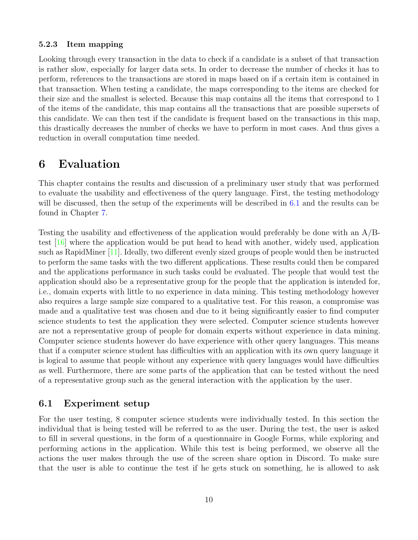#### <span id="page-12-0"></span>5.2.3 Item mapping

Looking through every transaction in the data to check if a candidate is a subset of that transaction is rather slow, especially for larger data sets. In order to decrease the number of checks it has to perform, references to the transactions are stored in maps based on if a certain item is contained in that transaction. When testing a candidate, the maps corresponding to the items are checked for their size and the smallest is selected. Because this map contains all the items that correspond to 1 of the items of the candidate, this map contains all the transactions that are possible supersets of this candidate. We can then test if the candidate is frequent based on the transactions in this map, this drastically decreases the number of checks we have to perform in most cases. And thus gives a reduction in overall computation time needed.

### <span id="page-12-1"></span>6 Evaluation

This chapter contains the results and discussion of a preliminary user study that was performed to evaluate the usability and effectiveness of the query language. First, the testing methodology will be discussed, then the setup of the experiments will be described in [6.1](#page-12-2) and the results can be found in Chapter [7.](#page-14-0)

Testing the usability and effectiveness of the application would preferably be done with an A/Btest [\[16\]](#page-19-7) where the application would be put head to head with another, widely used, application such as RapidMiner [\[11\]](#page-19-1). Ideally, two different evenly sized groups of people would then be instructed to perform the same tasks with the two different applications. These results could then be compared and the applications performance in such tasks could be evaluated. The people that would test the application should also be a representative group for the people that the application is intended for, i.e., domain experts with little to no experience in data mining. This testing methodology however also requires a large sample size compared to a qualitative test. For this reason, a compromise was made and a qualitative test was chosen and due to it being significantly easier to find computer science students to test the application they were selected. Computer science students however are not a representative group of people for domain experts without experience in data mining. Computer science students however do have experience with other query languages. This means that if a computer science student has difficulties with an application with its own query language it is logical to assume that people without any experience with query languages would have difficulties as well. Furthermore, there are some parts of the application that can be tested without the need of a representative group such as the general interaction with the application by the user.

#### <span id="page-12-2"></span>6.1 Experiment setup

For the user testing, 8 computer science students were individually tested. In this section the individual that is being tested will be referred to as the user. During the test, the user is asked to fill in several questions, in the form of a questionnaire in Google Forms, while exploring and performing actions in the application. While this test is being performed, we observe all the actions the user makes through the use of the screen share option in Discord. To make sure that the user is able to continue the test if he gets stuck on something, he is allowed to ask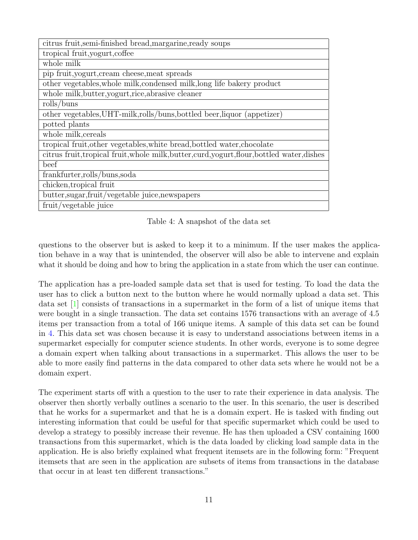| citrus fruit, semi-finished bread, margarine, ready soups                                    |
|----------------------------------------------------------------------------------------------|
| tropical fruit, yogurt, coffee                                                               |
| whole milk                                                                                   |
| pip fruit, yogurt, cream cheese, meat spreads                                                |
| other vegetables, whole milk, condensed milk, long life bakery product                       |
| whole milk, butter, yogurt, rice, abrasive cleaner                                           |
| $\text{rolls/buns}$                                                                          |
| other vegetables, UHT-milk, rolls/buns, bottled beer, liquor (appetizer)                     |
| potted plants                                                                                |
| whole milk, cereals                                                                          |
| tropical fruit, other vegetables, white bread, bottled water, chocolate                      |
| citrus fruit, tropical fruit, whole milk, butter, curd, yogurt, flour, bottled water, dishes |
| beef                                                                                         |
| frankfurter, rolls/buns, soda                                                                |
| chicken, tropical fruit                                                                      |
| butter, sugar, fruit/vegetable juice, newspapers                                             |
| fruit/vegetable juice                                                                        |

<span id="page-13-0"></span>Table 4: A snapshot of the data set

questions to the observer but is asked to keep it to a minimum. If the user makes the application behave in a way that is unintended, the observer will also be able to intervene and explain what it should be doing and how to bring the application in a state from which the user can continue.

The application has a pre-loaded sample data set that is used for testing. To load the data the user has to click a button next to the button where he would normally upload a data set. This data set [\[1\]](#page-18-8) consists of transactions in a supermarket in the form of a list of unique items that were bought in a single transaction. The data set contains 1576 transactions with an average of 4.5 items per transaction from a total of 166 unique items. A sample of this data set can be found in [4.](#page-13-0) This data set was chosen because it is easy to understand associations between items in a supermarket especially for computer science students. In other words, everyone is to some degree a domain expert when talking about transactions in a supermarket. This allows the user to be able to more easily find patterns in the data compared to other data sets where he would not be a domain expert.

The experiment starts off with a question to the user to rate their experience in data analysis. The observer then shortly verbally outlines a scenario to the user. In this scenario, the user is described that he works for a supermarket and that he is a domain expert. He is tasked with finding out interesting information that could be useful for that specific supermarket which could be used to develop a strategy to possibly increase their revenue. He has then uploaded a CSV containing 1600 transactions from this supermarket, which is the data loaded by clicking load sample data in the application. He is also briefly explained what frequent itemsets are in the following form: "Frequent itemsets that are seen in the application are subsets of items from transactions in the database that occur in at least ten different transactions."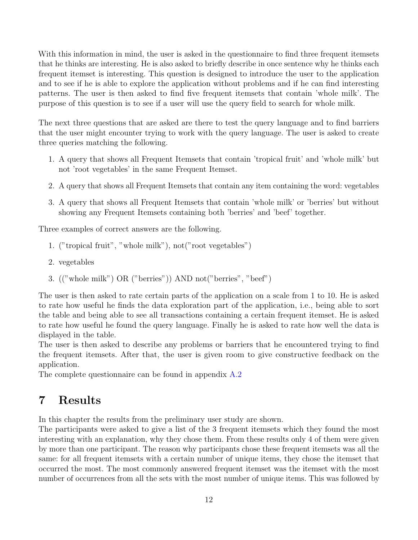With this information in mind, the user is asked in the questionnaire to find three frequent itemsets that he thinks are interesting. He is also asked to briefly describe in once sentence why he thinks each frequent itemset is interesting. This question is designed to introduce the user to the application and to see if he is able to explore the application without problems and if he can find interesting patterns. The user is then asked to find five frequent itemsets that contain 'whole milk'. The purpose of this question is to see if a user will use the query field to search for whole milk.

The next three questions that are asked are there to test the query language and to find barriers that the user might encounter trying to work with the query language. The user is asked to create three queries matching the following.

- 1. A query that shows all Frequent Itemsets that contain 'tropical fruit' and 'whole milk' but not 'root vegetables' in the same Frequent Itemset.
- 2. A query that shows all Frequent Itemsets that contain any item containing the word: vegetables
- 3. A query that shows all Frequent Itemsets that contain 'whole milk' or 'berries' but without showing any Frequent Itemsets containing both 'berries' and 'beef' together.

Three examples of correct answers are the following.

- 1. ("tropical fruit", "whole milk"), not("root vegetables")
- 2. vegetables
- 3. (("whole milk") OR ("berries")) AND not("berries", "beef")

The user is then asked to rate certain parts of the application on a scale from 1 to 10. He is asked to rate how useful he finds the data exploration part of the application, i.e., being able to sort the table and being able to see all transactions containing a certain frequent itemset. He is asked to rate how useful he found the query language. Finally he is asked to rate how well the data is displayed in the table.

The user is then asked to describe any problems or barriers that he encountered trying to find the frequent itemsets. After that, the user is given room to give constructive feedback on the application.

The complete questionnaire can be found in appendix [A.2](#page-21-0)

## <span id="page-14-0"></span>7 Results

In this chapter the results from the preliminary user study are shown.

The participants were asked to give a list of the 3 frequent itemsets which they found the most interesting with an explanation, why they chose them. From these results only 4 of them were given by more than one participant. The reason why participants chose these frequent itemsets was all the same: for all frequent itemsets with a certain number of unique items, they chose the itemset that occurred the most. The most commonly answered frequent itemset was the itemset with the most number of occurrences from all the sets with the most number of unique items. This was followed by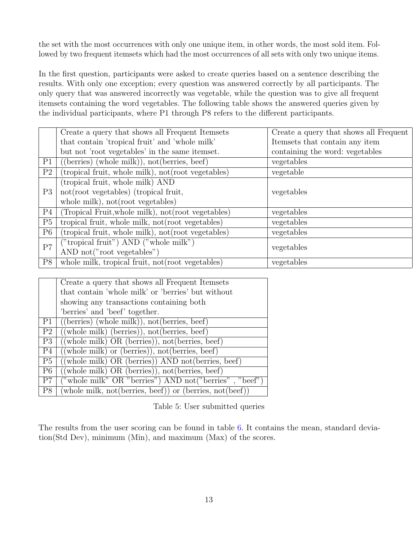the set with the most occurrences with only one unique item, in other words, the most sold item. Followed by two frequent itemsets which had the most occurrences of all sets with only two unique items.

In the first question, participants were asked to create queries based on a sentence describing the results. With only one exception; every question was answered correctly by all participants. The only query that was answered incorrectly was vegetable, while the question was to give all frequent itemsets containing the word vegetables. The following table shows the answered queries given by the individual participants, where P1 through P8 refers to the different participants.

|                | Create a query that shows all Frequent Itemsets                        | Create a query that shows all Frequent |
|----------------|------------------------------------------------------------------------|----------------------------------------|
|                | that contain 'tropical fruit' and 'whole milk'                         | Itemsets that contain any item         |
|                | but not 'root vegetables' in the same itemset.                         | containing the word: vegetables        |
| P <sub>1</sub> | $((\text{berries}) \text{ (whole milk)}), \text{ not (berries, beef)}$ | vegetables                             |
| P <sub>2</sub> | (tropical fruit, whole milk), not (root vegetables)                    | vegetable                              |
|                | (tropical fruit, whole milk) AND                                       |                                        |
| P3             | not(root vegetables) (tropical fruit,                                  | vegetables                             |
|                | whole milk), not (root vegetables)                                     |                                        |
| P <sub>4</sub> | (Tropical Fruit, whole milk), not (root vegetables)                    | vegetables                             |
| P5             | tropical fruit, whole milk, not (root vegetables)                      | vegetables                             |
| P <sub>6</sub> | (tropical fruit, whole milk), not (root vegetables)                    | vegetables                             |
| P7             | "tropical fruit") AND ("whole milk")                                   | vegetables                             |
|                | AND not("root vegetables")                                             |                                        |
| P8             | whole milk, tropical fruit, not (root vegetables)                      | vegetables                             |

|                | Create a query that shows all Frequent Itemsets                                                                      |
|----------------|----------------------------------------------------------------------------------------------------------------------|
|                | that contain 'whole milk' or 'berries' but without                                                                   |
|                | showing any transactions containing both                                                                             |
|                | 'berries' and 'beef' together.                                                                                       |
|                | $P1$ ((berries) (whole milk)), not(berries, beef)                                                                    |
| P <sub>2</sub> | $((whole milk) (berries)), not (berries, beef)$                                                                      |
| P3             | $((whole milk) OR (berries)), not (berries, beef)$                                                                   |
| P <sub>4</sub> | $((whole \tmlk) \tor (berries)), not (berries, beef)$                                                                |
| P5             | $((whole milk) OR (berries)) AND not (berries, beef)$                                                                |
| P6             | $((whole milk) OR (berries)), not(berries, beef)$                                                                    |
| P7             | ("whole milk" OR "berries") AND not ("berries", "beef")                                                              |
| P8             | $(\text{whole milk}, \text{not}(\text{berries}, \text{beef})) \text{ or } (\text{berries}, \text{not}(\text{beef}))$ |

Table 5: User submitted queries

The results from the user scoring can be found in table [6.](#page-16-1) It contains the mean, standard deviation(Std Dev), minimum (Min), and maximum (Max) of the scores.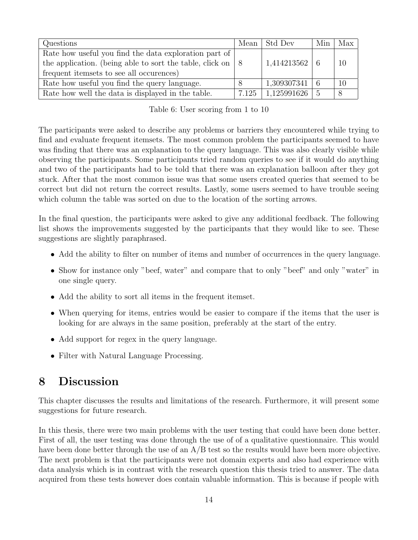| Questions                                                          |       | Mean Std Dev      | Min | Max |
|--------------------------------------------------------------------|-------|-------------------|-----|-----|
| Rate how useful you find the data exploration part of              |       |                   |     |     |
| the application. (being able to sort the table, click on $\vert 8$ |       | $1,414213562$   6 |     |     |
| frequent itemsets to see all occurences)                           |       |                   |     |     |
| Rate how useful you find the query language.                       |       | 1,309307341       |     |     |
| Rate how well the data is displayed in the table.                  | 7.125 | $1,125991626$     |     |     |

<span id="page-16-1"></span>

| Table 6: User scoring from 1 to 10 |  |  |  |  |  |  |  |
|------------------------------------|--|--|--|--|--|--|--|
|------------------------------------|--|--|--|--|--|--|--|

The participants were asked to describe any problems or barriers they encountered while trying to find and evaluate frequent itemsets. The most common problem the participants seemed to have was finding that there was an explanation to the query language. This was also clearly visible while observing the participants. Some participants tried random queries to see if it would do anything and two of the participants had to be told that there was an explanation balloon after they got stuck. After that the most common issue was that some users created queries that seemed to be correct but did not return the correct results. Lastly, some users seemed to have trouble seeing which column the table was sorted on due to the location of the sorting arrows.

In the final question, the participants were asked to give any additional feedback. The following list shows the improvements suggested by the participants that they would like to see. These suggestions are slightly paraphrased.

- Add the ability to filter on number of items and number of occurrences in the query language.
- Show for instance only "beef, water" and compare that to only "beef" and only "water" in one single query.
- Add the ability to sort all items in the frequent itemset.
- When querying for items, entries would be easier to compare if the items that the user is looking for are always in the same position, preferably at the start of the entry.
- Add support for regex in the query language.
- Filter with Natural Language Processing.

# <span id="page-16-0"></span>8 Discussion

This chapter discusses the results and limitations of the research. Furthermore, it will present some suggestions for future research.

In this thesis, there were two main problems with the user testing that could have been done better. First of all, the user testing was done through the use of of a qualitative questionnaire. This would have been done better through the use of an A/B test so the results would have been more objective. The next problem is that the participants were not domain experts and also had experience with data analysis which is in contrast with the research question this thesis tried to answer. The data acquired from these tests however does contain valuable information. This is because if people with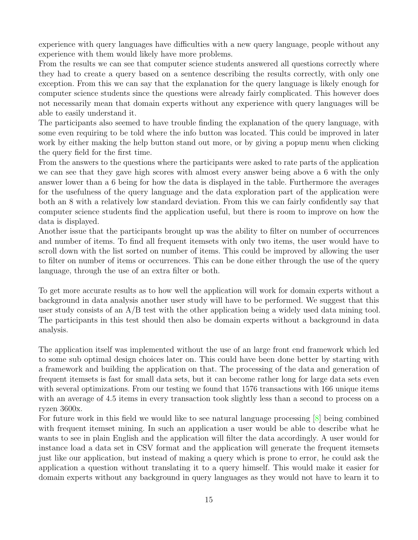experience with query languages have difficulties with a new query language, people without any experience with them would likely have more problems.

From the results we can see that computer science students answered all questions correctly where they had to create a query based on a sentence describing the results correctly, with only one exception. From this we can say that the explanation for the query language is likely enough for computer science students since the questions were already fairly complicated. This however does not necessarily mean that domain experts without any experience with query languages will be able to easily understand it.

The participants also seemed to have trouble finding the explanation of the query language, with some even requiring to be told where the info button was located. This could be improved in later work by either making the help button stand out more, or by giving a popup menu when clicking the query field for the first time.

From the answers to the questions where the participants were asked to rate parts of the application we can see that they gave high scores with almost every answer being above a 6 with the only answer lower than a 6 being for how the data is displayed in the table. Furthermore the averages for the usefulness of the query language and the data exploration part of the application were both an 8 with a relatively low standard deviation. From this we can fairly confidently say that computer science students find the application useful, but there is room to improve on how the data is displayed.

Another issue that the participants brought up was the ability to filter on number of occurrences and number of items. To find all frequent itemsets with only two items, the user would have to scroll down with the list sorted on number of items. This could be improved by allowing the user to filter on number of items or occurrences. This can be done either through the use of the query language, through the use of an extra filter or both.

To get more accurate results as to how well the application will work for domain experts without a background in data analysis another user study will have to be performed. We suggest that this user study consists of an A/B test with the other application being a widely used data mining tool. The participants in this test should then also be domain experts without a background in data analysis.

The application itself was implemented without the use of an large front end framework which led to some sub optimal design choices later on. This could have been done better by starting with a framework and building the application on that. The processing of the data and generation of frequent itemsets is fast for small data sets, but it can become rather long for large data sets even with several optimizations. From our testing we found that 1576 transactions with 166 unique items with an average of 4.5 items in every transaction took slightly less than a second to process on a ryzen 3600x.

For future work in this field we would like to see natural language processing [\[8\]](#page-19-8) being combined with frequent itemset mining. In such an application a user would be able to describe what he wants to see in plain English and the application will filter the data accordingly. A user would for instance load a data set in CSV format and the application will generate the frequent itemsets just like our application, but instead of making a query which is prone to error, he could ask the application a question without translating it to a query himself. This would make it easier for domain experts without any background in query languages as they would not have to learn it to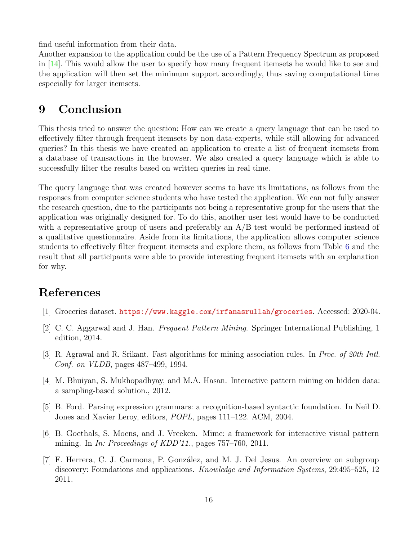find useful information from their data.

Another expansion to the application could be the use of a Pattern Frequency Spectrum as proposed in  $[14]$ . This would allow the user to specify how many frequent itemsets he would like to see and the application will then set the minimum support accordingly, thus saving computational time especially for larger itemsets.

## <span id="page-18-0"></span>9 Conclusion

This thesis tried to answer the question: How can we create a query language that can be used to effectively filter through frequent itemsets by non data-experts, while still allowing for advanced queries? In this thesis we have created an application to create a list of frequent itemsets from a database of transactions in the browser. We also created a query language which is able to successfully filter the results based on written queries in real time.

The query language that was created however seems to have its limitations, as follows from the responses from computer science students who have tested the application. We can not fully answer the research question, due to the participants not being a representative group for the users that the application was originally designed for. To do this, another user test would have to be conducted with a representative group of users and preferably an A/B test would be performed instead of a qualitative questionnaire. Aside from its limitations, the application allows computer science students to effectively filter frequent itemsets and explore them, as follows from Table [6](#page-16-1) and the result that all participants were able to provide interesting frequent itemsets with an explanation for why.

# <span id="page-18-1"></span>References

- <span id="page-18-8"></span>[1] Groceries dataset. <https://www.kaggle.com/irfanasrullah/groceries>. Accessed: 2020-04.
- <span id="page-18-2"></span>[2] C. C. Aggarwal and J. Han. Frequent Pattern Mining. Springer International Publishing, 1 edition, 2014.
- <span id="page-18-3"></span>[3] R. Agrawal and R. Srikant. Fast algorithms for mining association rules. In Proc. of 20th Intl. Conf. on VLDB, pages 487–499, 1994.
- <span id="page-18-4"></span>[4] M. Bhuiyan, S. Mukhopadhyay, and M.A. Hasan. Interactive pattern mining on hidden data: a sampling-based solution., 2012.
- <span id="page-18-7"></span>[5] B. Ford. Parsing expression grammars: a recognition-based syntactic foundation. In Neil D. Jones and Xavier Leroy, editors, POPL, pages 111–122. ACM, 2004.
- <span id="page-18-6"></span>[6] B. Goethals, S. Moens, and J. Vreeken. Mime: a framework for interactive visual pattern mining. In In: Proceedings of KDD'11., pages 757–760, 2011.
- <span id="page-18-5"></span>[7] F. Herrera, C. J. Carmona, P. Gonz´alez, and M. J. Del Jesus. An overview on subgroup discovery: Foundations and applications. *Knowledge and Information Systems*, 29:495–525, 12 2011.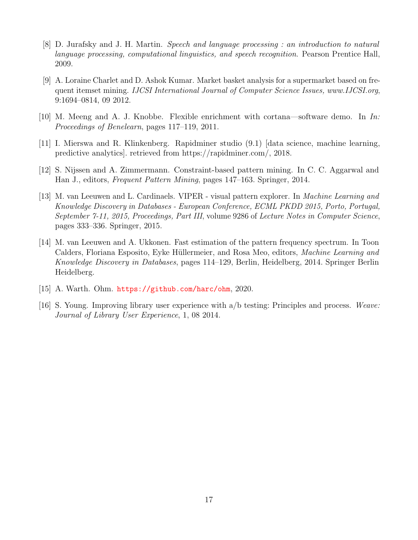- <span id="page-19-8"></span>[8] D. Jurafsky and J. H. Martin. Speech and language processing : an introduction to natural language processing, computational linguistics, and speech recognition. Pearson Prentice Hall, 2009.
- <span id="page-19-0"></span>[9] A. Loraine Charlet and D. Ashok Kumar. Market basket analysis for a supermarket based on frequent itemset mining. IJCSI International Journal of Computer Science Issues, www.IJCSI.org, 9:1694–0814, 09 2012.
- <span id="page-19-2"></span>[10] M. Meeng and A. J. Knobbe. Flexible enrichment with cortana—software demo. In In: Proceedings of Benelearn, pages 117–119, 2011.
- <span id="page-19-1"></span>[11] I. Mierswa and R. Klinkenberg. Rapidminer studio (9.1) [data science, machine learning, predictive analytics]. retrieved from https://rapidminer.com/, 2018.
- <span id="page-19-4"></span>[12] S. Nijssen and A. Zimmermann. Constraint-based pattern mining. In C. C. Aggarwal and Han J., editors, Frequent Pattern Mining, pages 147–163. Springer, 2014.
- <span id="page-19-3"></span>[13] M. van Leeuwen and L. Cardinaels. VIPER - visual pattern explorer. In Machine Learning and Knowledge Discovery in Databases - European Conference, ECML PKDD 2015, Porto, Portugal, September 7-11, 2015, Proceedings, Part III, volume 9286 of Lecture Notes in Computer Science, pages 333–336. Springer, 2015.
- <span id="page-19-5"></span>[14] M. van Leeuwen and A. Ukkonen. Fast estimation of the pattern frequency spectrum. In Toon Calders, Floriana Esposito, Eyke Hüllermeier, and Rosa Meo, editors, *Machine Learning and* Knowledge Discovery in Databases, pages 114–129, Berlin, Heidelberg, 2014. Springer Berlin Heidelberg.
- <span id="page-19-6"></span>[15] A. Warth. Ohm. <https://github.com/harc/ohm>, 2020.
- <span id="page-19-7"></span>[16] S. Young. Improving library user experience with a/b testing: Principles and process. Weave: Journal of Library User Experience, 1, 08 2014.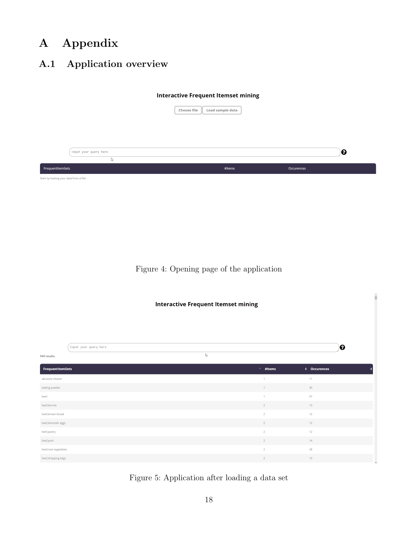# <span id="page-20-0"></span>A Appendix

# <span id="page-20-1"></span>A.1 Application overview

#### **Interactive Frequent Itemset mining**

|                                         | <b>Load sample data</b><br><b>Choose file</b> |            |
|-----------------------------------------|-----------------------------------------------|------------|
|                                         |                                               |            |
|                                         |                                               |            |
| Input your query here                   |                                               | ๏          |
| r,<br>FrequentItemSets                  | #Items                                        | Occurences |
| Start by loading your data from a file! |                                               |            |

Figure 4: Opening page of the application

| <b>Interactive Frequent Itemset mining</b> |                       |              |                |                 |  |  |  |
|--------------------------------------------|-----------------------|--------------|----------------|-----------------|--|--|--|
|                                            | Input your query here |              |                | $\mathbf 0$     |  |  |  |
| 949 results.                               |                       | $\mathbb{D}$ |                |                 |  |  |  |
| FrequentItemSets                           |                       |              | $^+$ #Items    | ♦ Occurences    |  |  |  |
| abrasive cleaner                           |                       |              | $\mathbf{1}$   | 11              |  |  |  |
| baking powder                              |                       |              | 1              | 30 <sup>°</sup> |  |  |  |
| beef                                       |                       |              | $\mathbf{1}$   | 97              |  |  |  |
| beef, berries                              |                       |              | $\overline{2}$ | 13              |  |  |  |
| beef, brown bread                          |                       |              | $\overline{2}$ | 12              |  |  |  |
| beef, domestic eggs                        |                       |              | $\overline{2}$ | 12              |  |  |  |
| beef,pastry                                |                       |              | $\overline{2}$ | 12              |  |  |  |
| beef,pork                                  |                       |              | $\overline{2}$ | 14              |  |  |  |
| beef, root vegetables                      |                       |              | $\overline{2}$ | 28              |  |  |  |
| beef, shopping bags                        |                       |              | $\overline{2}$ | 13              |  |  |  |

<span id="page-20-2"></span>Figure 5: Application after loading a data set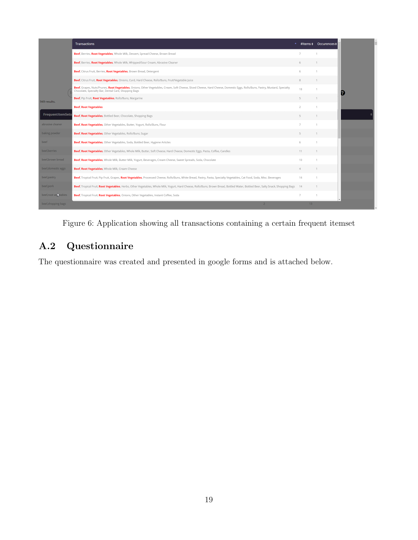|                        | <b>Transactions</b>                                                                                                                                                                                                                 |                          |                 | #Items + Occurences + |
|------------------------|-------------------------------------------------------------------------------------------------------------------------------------------------------------------------------------------------------------------------------------|--------------------------|-----------------|-----------------------|
|                        | Beef, Berries, Root Vegetables, Whole Milk, Dessert, Spread Cheese, Brown Bread                                                                                                                                                     | $\overline{7}$           |                 |                       |
|                        | Beef, Berries, Root Vegetables, Whole Milk, Whipped/Sour Cream, Abrasive Cleaner                                                                                                                                                    | 6                        |                 |                       |
|                        | Beef, Citrus Fruit, Berries, Root Vegetables, Brown Bread, Detergent                                                                                                                                                                | 6                        |                 |                       |
|                        | Beef, Citrus Fruit, Root Vegetables, Onions, Curd, Hard Cheese, Rolls/Buns, Fruit/Vegetable Juice                                                                                                                                   | 8                        |                 |                       |
|                        | Beef, Grapes, Nuts/Prunes, Root Vegetables, Onions, Other Vegetables, Cream, Soft Cheese, Sliced Cheese, Hard Cheese, Domestic Eggs, Rolls/Buns, Pastry, Mustard, Specialty<br>Chocolate, Specialty Bar, Dental Care, Shopping Bags | 18                       |                 |                       |
| 949 results.           | Beef, Pip Fruit, Root Vegetables, Rolls/Buns, Margarine                                                                                                                                                                             | 5                        |                 | $\overline{1}$        |
|                        | <b>Beef, Root Vegetables</b>                                                                                                                                                                                                        | $\overline{\phantom{a}}$ |                 |                       |
| FrequentItemSets       | Beef, Root Vegetables, Bottled Beer, Chocolate, Shopping Bags                                                                                                                                                                       | 5                        |                 | $\overline{1}$        |
| abrasive cleaner       | Beef, Root Vegetables, Other Vegetables, Butter, Yogurt, Rolls/Buns, Flour                                                                                                                                                          | $\overline{7}$           |                 |                       |
| baking powder          | Beef, Root Vegetables, Other Vegetables, Rolls/Buns, Sugar                                                                                                                                                                          | 5                        |                 | $\overline{1}$        |
| beef                   | Beef, Root Vegetables, Other Vegetables, Soda, Bottled Beer, Hygiene Articles                                                                                                                                                       | 6                        |                 |                       |
| beef, berries          | Beef, Root Vegetables, Other Vegetables, Whole Milk, Butter, Soft Cheese, Hard Cheese, Domestic Eggs, Pasta, Coffee, Candles                                                                                                        | 11                       |                 |                       |
| beef, brown bread      | Beef, Root Vegetables, Whole Milk, Butter Milk, Yogurt, Beverages, Cream Cheese, Sweet Spreads, Soda, Chocolate                                                                                                                     | 10                       |                 | $\overline{1}$        |
| beef, domestic eggs    | Beef, Root Vegetables, Whole Milk, Cream Cheese                                                                                                                                                                                     | $\overline{4}$           |                 |                       |
| beef,pastry            | Beef, Tropical Fruit, Pip Fruit, Grapes, Root Vegetables, Processed Cheese, Rolls/Buns, White Bread, Pastry, Pasta, Specialty Vegetables, Cat Food, Soda, Misc. Beverages                                                           | 14                       |                 | $\overline{1}$        |
| beef,pork              | Beef, Tropical Fruit, Root Vegetables, Herbs, Other Vegetables, Whole Milk, Yogurt, Hard Cheese, Rolls/Buns, Brown Bread, Bottled Water, Bottled Beer, Salty Snack, Shopping Bags 14                                                |                          |                 | $\overline{1}$        |
| beef, root verbitables | Beef, Tropical Fruit, Root Vegetables, Onions, Other Vegetables, Instant Coffee, Soda                                                                                                                                               | $\overline{7}$           |                 |                       |
| beef, shopping bags    |                                                                                                                                                                                                                                     |                          | 13 <sup>1</sup> |                       |

Figure 6: Application showing all transactions containing a certain frequent itemset

# <span id="page-21-0"></span>A.2 Questionnaire

The questionnaire was created and presented in google forms and is attached below.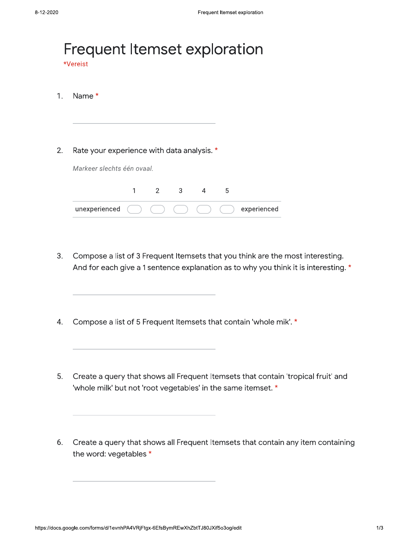| Name *        |          |             |                            |   |   |                                                                            |
|---------------|----------|-------------|----------------------------|---|---|----------------------------------------------------------------------------|
|               |          |             |                            |   |   |                                                                            |
|               |          |             |                            |   |   |                                                                            |
| unexperienced | 1        | $2^{\circ}$ | 3                          | 4 | 5 | experienced                                                                |
|               | *Vereist |             | Markeer slechts één ovaal. |   |   | Frequent Itemset exploration<br>Rate your experience with data analysis. * |

- $3.$ Compose a list of 3 Frequent Itemsets that you think are the most interesting. And for each give a 1 sentence explanation as to why you think it is interesting. \*
- Compose a list of 5 Frequent Itemsets that contain 'whole mik'. \*  $4.$
- 5. Create a query that shows all Frequent Itemsets that contain 'tropical fruit' and 'whole milk' but not 'root vegetables' in the same itemset. \*
- 6. Create a query that shows all Frequent Itemsets that contain any item containing the word: vegetables \*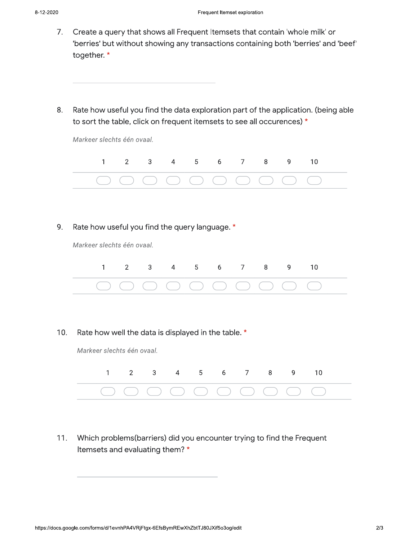9.

- $7.$ Create a query that shows all Frequent Itemsets that contain 'whole milk' or 'berries' but without showing any transactions containing both 'berries' and 'beef' together.\*
- 8. Rate how useful you find the data exploration part of the application. (being able to sort the table, click on frequent itemsets to see all occurences) \*

| Markeer slechts één ovaal.                     |   |                |   |               |   |   |               |   |   |    |  |
|------------------------------------------------|---|----------------|---|---------------|---|---|---------------|---|---|----|--|
|                                                | 1 | $\overline{2}$ |   | 3 4 5 6 7 8 9 |   |   |               |   |   | 10 |  |
|                                                |   |                |   |               |   |   |               |   |   |    |  |
|                                                |   |                |   |               |   |   |               |   |   |    |  |
|                                                |   |                |   |               |   |   |               |   |   |    |  |
| Rate how useful you find the query language. * |   |                |   |               |   |   |               |   |   |    |  |
| Markeer slechts één ovaal.                     |   |                |   |               |   |   |               |   |   |    |  |
|                                                |   |                | 3 | 4             | 5 | 6 | $\mathcal{I}$ | 8 | 9 | 10 |  |

 $10.$ Rate how well the data is displayed in the table. \*

Markeer slechts één ovaal.



Which problems(barriers) did you encounter trying to find the Frequent  $11.$ Itemsets and evaluating them? \*